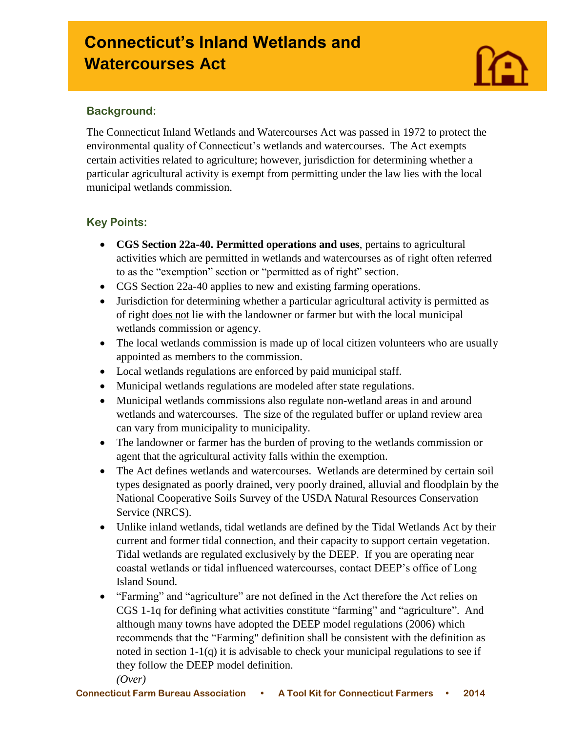# **Connecticut's Inland Wetlands and Watercourses Act**

#### **Background:**

I

The Connecticut Inland Wetlands and Watercourses Act was passed in 1972 to protect the environmental quality of Connecticut's wetlands and watercourses. The Act exempts certain activities related to agriculture; however, jurisdiction for determining whether a particular agricultural activity is exempt from permitting under the law lies with the local municipal wetlands commission.

# **Key Points:**

- **CGS Section 22a-40. Permitted operations and uses**, pertains to agricultural activities which are permitted in wetlands and watercourses as of right often referred to as the "exemption" section or "permitted as of right" section.
- CGS Section 22a-40 applies to new and existing farming operations.
- Jurisdiction for determining whether a particular agricultural activity is permitted as of right does not lie with the landowner or farmer but with the local municipal wetlands commission or agency.
- The local wetlands commission is made up of local citizen volunteers who are usually appointed as members to the commission.
- Local wetlands regulations are enforced by paid municipal staff.
- Municipal wetlands regulations are modeled after state regulations.
- Municipal wetlands commissions also regulate non-wetland areas in and around wetlands and watercourses. The size of the regulated buffer or upland review area can vary from municipality to municipality.
- The landowner or farmer has the burden of proving to the wetlands commission or agent that the agricultural activity falls within the exemption.
- The Act defines wetlands and watercourses. Wetlands are determined by certain soil types designated as poorly drained, very poorly drained, alluvial and floodplain by the National Cooperative Soils Survey of the USDA Natural Resources Conservation Service (NRCS).
- Unlike inland wetlands, tidal wetlands are defined by the Tidal Wetlands Act by their current and former tidal connection, and their capacity to support certain vegetation. Tidal wetlands are regulated exclusively by the DEEP. If you are operating near coastal wetlands or tidal influenced watercourses, contact DEEP's office of Long Island Sound.
- "Farming" and "agriculture" are not defined in the Act therefore the Act relies on CGS 1-1q for defining what activities constitute "farming" and "agriculture". And although many towns have adopted the DEEP model regulations (2006) which recommends that the "Farming" definition shall be consistent with the definition as noted in section 1-1(q) it is advisable to check your municipal regulations to see if they follow the DEEP model definition.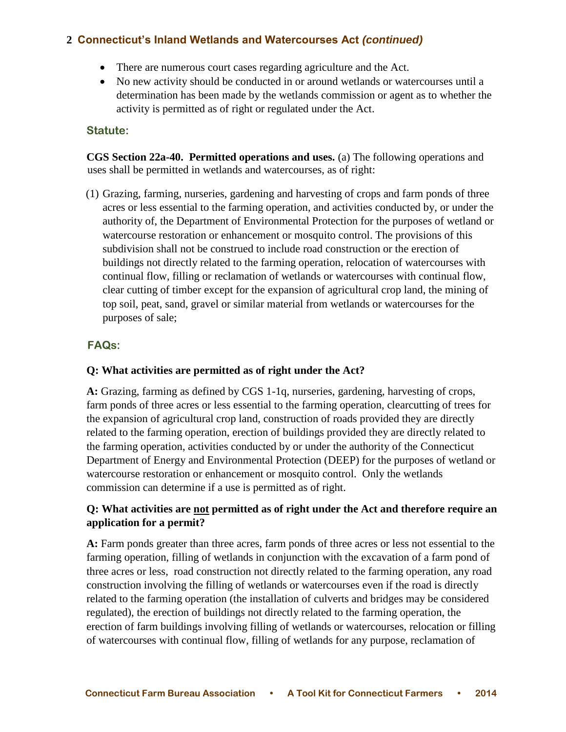## **2 Connecticut's Inland Wetlands and Watercourses Act** *(continued)*

- There are numerous court cases regarding agriculture and the Act.
- No new activity should be conducted in or around wetlands or watercourses until a determination has been made by the wetlands commission or agent as to whether the activity is permitted as of right or regulated under the Act.

#### **Statute:**

**CGS Section 22a-40. Permitted operations and uses.** (a) The following operations and uses shall be permitted in wetlands and watercourses, as of right:

(1) Grazing, farming, nurseries, gardening and harvesting of crops and farm ponds of three acres or less essential to the farming operation, and activities conducted by, or under the authority of, the Department of Environmental Protection for the purposes of wetland or watercourse restoration or enhancement or mosquito control. The provisions of this subdivision shall not be construed to include road construction or the erection of buildings not directly related to the farming operation, relocation of watercourses with continual flow, filling or reclamation of wetlands or watercourses with continual flow, clear cutting of timber except for the expansion of agricultural crop land, the mining of top soil, peat, sand, gravel or similar material from wetlands or watercourses for the purposes of sale;

#### **FAQs:**

#### **Q: What activities are permitted as of right under the Act?**

**A:** Grazing, farming as defined by CGS 1-1q, nurseries, gardening, harvesting of crops, farm ponds of three acres or less essential to the farming operation, clearcutting of trees for the expansion of agricultural crop land, construction of roads provided they are directly related to the farming operation, erection of buildings provided they are directly related to the farming operation, activities conducted by or under the authority of the Connecticut Department of Energy and Environmental Protection (DEEP) for the purposes of wetland or watercourse restoration or enhancement or mosquito control. Only the wetlands commission can determine if a use is permitted as of right.

#### **Q: What activities are not permitted as of right under the Act and therefore require an application for a permit?**

**A:** Farm ponds greater than three acres, farm ponds of three acres or less not essential to the farming operation, filling of wetlands in conjunction with the excavation of a farm pond of three acres or less, road construction not directly related to the farming operation, any road construction involving the filling of wetlands or watercourses even if the road is directly related to the farming operation (the installation of culverts and bridges may be considered regulated), the erection of buildings not directly related to the farming operation, the erection of farm buildings involving filling of wetlands or watercourses, relocation or filling of watercourses with continual flow, filling of wetlands for any purpose, reclamation of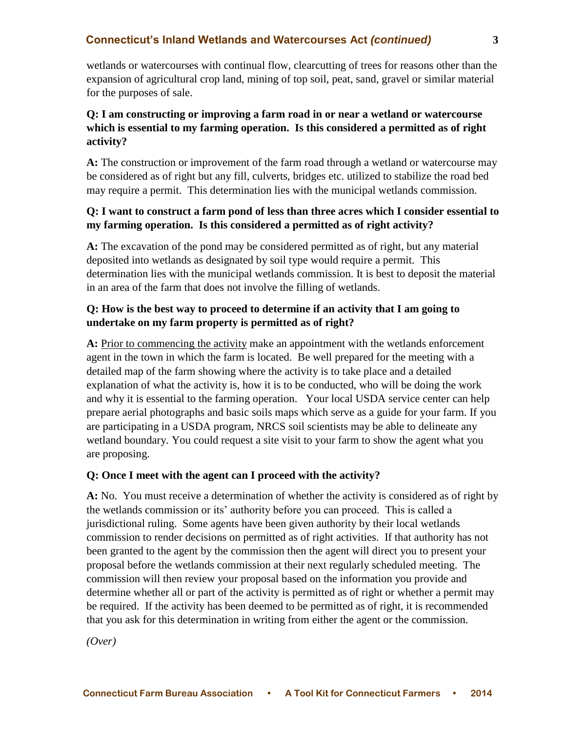#### **Connecticut's Inland Wetlands and Watercourses Act** *(continued)* **3**

wetlands or watercourses with continual flow, clearcutting of trees for reasons other than the expansion of agricultural crop land, mining of top soil, peat, sand, gravel or similar material for the purposes of sale.

#### **Q: I am constructing or improving a farm road in or near a wetland or watercourse which is essential to my farming operation. Is this considered a permitted as of right activity?**

**A:** The construction or improvement of the farm road through a wetland or watercourse may be considered as of right but any fill, culverts, bridges etc. utilized to stabilize the road bed may require a permit. This determination lies with the municipal wetlands commission.

#### **Q: I want to construct a farm pond of less than three acres which I consider essential to my farming operation. Is this considered a permitted as of right activity?**

**A:** The excavation of the pond may be considered permitted as of right, but any material deposited into wetlands as designated by soil type would require a permit. This determination lies with the municipal wetlands commission. It is best to deposit the material in an area of the farm that does not involve the filling of wetlands.

#### **Q: How is the best way to proceed to determine if an activity that I am going to undertake on my farm property is permitted as of right?**

**A:** Prior to commencing the activity make an appointment with the wetlands enforcement agent in the town in which the farm is located. Be well prepared for the meeting with a detailed map of the farm showing where the activity is to take place and a detailed explanation of what the activity is, how it is to be conducted, who will be doing the work and why it is essential to the farming operation. Your local USDA service center can help prepare aerial photographs and basic soils maps which serve as a guide for your farm. If you are participating in a USDA program, NRCS soil scientists may be able to delineate any wetland boundary. You could request a site visit to your farm to show the agent what you are proposing.

#### **Q: Once I meet with the agent can I proceed with the activity?**

**A:** No. You must receive a determination of whether the activity is considered as of right by the wetlands commission or its' authority before you can proceed. This is called a jurisdictional ruling. Some agents have been given authority by their local wetlands commission to render decisions on permitted as of right activities. If that authority has not been granted to the agent by the commission then the agent will direct you to present your proposal before the wetlands commission at their next regularly scheduled meeting. The commission will then review your proposal based on the information you provide and determine whether all or part of the activity is permitted as of right or whether a permit may be required. If the activity has been deemed to be permitted as of right, it is recommended that you ask for this determination in writing from either the agent or the commission.

*(Over)*